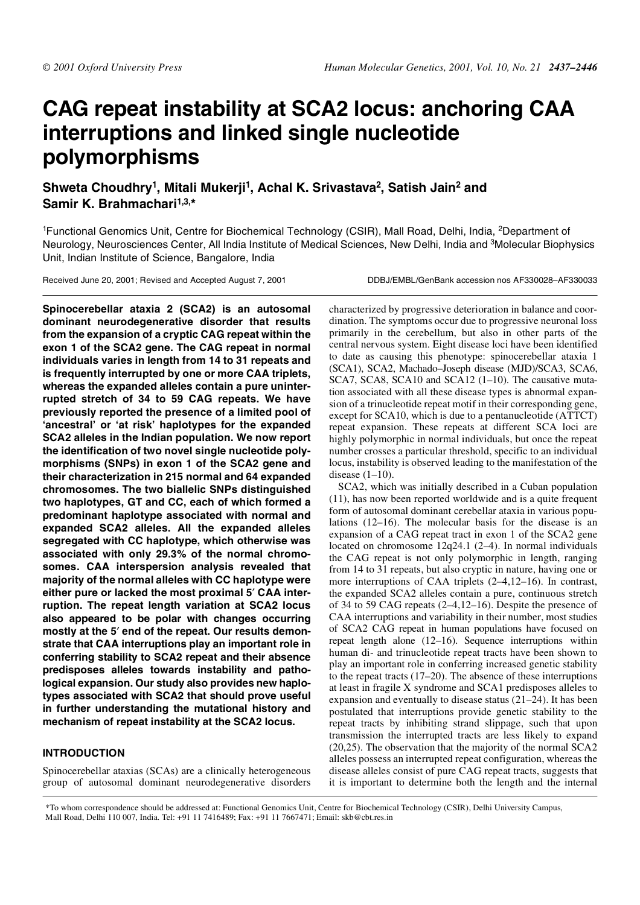# **CAG repeat instability at SCA2 locus: anchoring CAA interruptions and linked single nucleotide polymorphisms**

**Shweta Choudhry<sup>1</sup> , Mitali Mukerji<sup>1</sup> , Achal K. Srivastava<sup>2</sup> , Satish Jain<sup>2</sup> and Samir K. Brahmachari1,3,\***

<sup>1</sup>Functional Genomics Unit, Centre for Biochemical Technology (CSIR), Mall Road, Delhi, India, <sup>2</sup>Department of Neurology, Neurosciences Center, All India Institute of Medical Sciences, New Delhi, India and <sup>3</sup>Molecular Biophysics Unit, Indian Institute of Science, Bangalore, India

Received June 20, 2001; Revised and Accepted August 7, 2001 DDBJ/EMBL/GenBank accession nos AF330028-AF330033

**Spinocerebellar ataxia 2 (SCA2) is an autosomal dominant neurodegenerative disorder that results from the expansion of a cryptic CAG repeat within the exon 1 of the SCA2 gene. The CAG repeat in normal individuals varies in length from 14 to 31 repeats and is frequently interrupted by one or more CAA triplets, whereas the expanded alleles contain a pure uninterrupted stretch of 34 to 59 CAG repeats. We have previously reported the presence of a limited pool of 'ancestral' or 'at risk' haplotypes for the expanded SCA2 alleles in the Indian population. We now report the identification of two novel single nucleotide polymorphisms (SNPs) in exon 1 of the SCA2 gene and their characterization in 215 normal and 64 expanded chromosomes. The two biallelic SNPs distinguished two haplotypes, GT and CC, each of which formed a predominant haplotype associated with normal and expanded SCA2 alleles. All the expanded alleles segregated with CC haplotype, which otherwise was associated with only 29.3% of the normal chromosomes. CAA interspersion analysis revealed that majority of the normal alleles with CC haplotype were either pure or lacked the most proximal 5**′ **CAA interruption. The repeat length variation at SCA2 locus also appeared to be polar with changes occurring mostly at the 5**′ **end of the repeat. Our results demonstrate that CAA interruptions play an important role in conferring stability to SCA2 repeat and their absence predisposes alleles towards instability and pathological expansion. Our study also provides new haplotypes associated with SCA2 that should prove useful in further understanding the mutational history and mechanism of repeat instability at the SCA2 locus.**

# **INTRODUCTION**

Spinocerebellar ataxias (SCAs) are a clinically heterogeneous group of autosomal dominant neurodegenerative disorders characterized by progressive deterioration in balance and coordination. The symptoms occur due to progressive neuronal loss primarily in the cerebellum, but also in other parts of the central nervous system. Eight disease loci have been identified to date as causing this phenotype: spinocerebellar ataxia 1 (SCA1), SCA2, Machado–Joseph disease (MJD)/SCA3, SCA6, SCA7, SCA8, SCA10 and SCA12 (1-10). The causative mutation associated with all these disease types is abnormal expansion of a trinucleotide repeat motif in their corresponding gene, except for SCA10, which is due to a pentanucleotide (ATTCT) repeat expansion. These repeats at different SCA loci are highly polymorphic in normal individuals, but once the repeat number crosses a particular threshold, specific to an individual locus, instability is observed leading to the manifestation of the disease  $(1-10)$ .

SCA2, which was initially described in a Cuban population (11), has now been reported worldwide and is a quite frequent form of autosomal dominant cerebellar ataxia in various populations (12–16). The molecular basis for the disease is an expansion of a CAG repeat tract in exon 1 of the SCA2 gene located on chromosome 12q24.1 (2–4). In normal individuals the CAG repeat is not only polymorphic in length, ranging from 14 to 31 repeats, but also cryptic in nature, having one or more interruptions of CAA triplets (2–4,12–16). In contrast, the expanded SCA2 alleles contain a pure, continuous stretch of 34 to 59 CAG repeats (2–4,12–16). Despite the presence of CAA interruptions and variability in their number, most studies of SCA2 CAG repeat in human populations have focused on repeat length alone (12–16). Sequence interruptions within human di- and trinucleotide repeat tracts have been shown to play an important role in conferring increased genetic stability to the repeat tracts (17–20). The absence of these interruptions at least in fragile X syndrome and SCA1 predisposes alleles to expansion and eventually to disease status (21–24). It has been postulated that interruptions provide genetic stability to the repeat tracts by inhibiting strand slippage, such that upon transmission the interrupted tracts are less likely to expand (20,25). The observation that the majority of the normal SCA2 alleles possess an interrupted repeat configuration, whereas the disease alleles consist of pure CAG repeat tracts, suggests that it is important to determine both the length and the internal

\*To whom correspondence should be addressed at: Functional Genomics Unit, Centre for Biochemical Technology (CSIR), Delhi University Campus, Mall Road, Delhi 110 007, India. Tel: +91 11 7416489; Fax: +91 11 7667471; Email: skb@cbt.res.in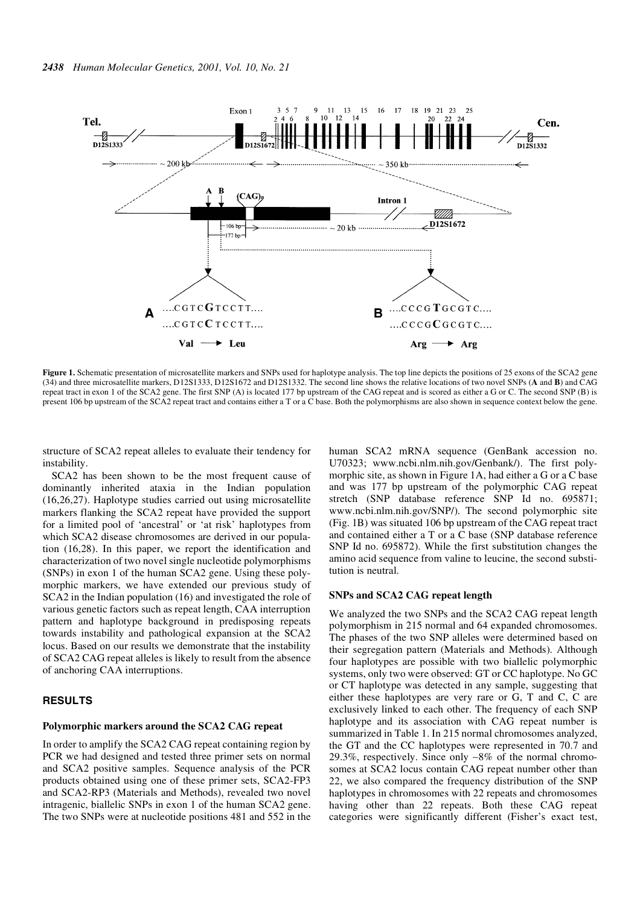

Figure 1. Schematic presentation of microsatellite markers and SNPs used for haplotype analysis. The top line depicts the positions of 25 exons of the SCA2 gene (34) and three microsatellite markers, D12S1333, D12S1672 and D12S1332. The second line shows the relative locations of two novel SNPs (**A** and **B**) and CAG repeat tract in exon 1 of the SCA2 gene. The first SNP (A) is located 177 bp upstream of the CAG repeat and is scored as either a G or C. The second SNP (B) is present 106 bp upstream of the SCA2 repeat tract and contains either a T or a C base. Both the polymorphisms are also shown in sequence context below the gene.

structure of SCA2 repeat alleles to evaluate their tendency for instability.

SCA2 has been shown to be the most frequent cause of dominantly inherited ataxia in the Indian population (16,26,27). Haplotype studies carried out using microsatellite markers flanking the SCA2 repeat have provided the support for a limited pool of 'ancestral' or 'at risk' haplotypes from which SCA2 disease chromosomes are derived in our population (16,28). In this paper, we report the identification and characterization of two novel single nucleotide polymorphisms (SNPs) in exon 1 of the human SCA2 gene. Using these polymorphic markers, we have extended our previous study of SCA2 in the Indian population (16) and investigated the role of various genetic factors such as repeat length, CAA interruption pattern and haplotype background in predisposing repeats towards instability and pathological expansion at the SCA2 locus. Based on our results we demonstrate that the instability of SCA2 CAG repeat alleles is likely to result from the absence of anchoring CAA interruptions.

# **RESULTS**

#### **Polymorphic markers around the SCA2 CAG repeat**

In order to amplify the SCA2 CAG repeat containing region by PCR we had designed and tested three primer sets on normal and SCA2 positive samples. Sequence analysis of the PCR products obtained using one of these primer sets, SCA2-FP3 and SCA2-RP3 (Materials and Methods), revealed two novel intragenic, biallelic SNPs in exon 1 of the human SCA2 gene. The two SNPs were at nucleotide positions 481 and 552 in the human SCA2 mRNA sequence (GenBank accession no. U70323; www.ncbi.nlm.nih.gov/Genbank/). The first polymorphic site, as shown in Figure 1A, had either a G or a C base and was 177 bp upstream of the polymorphic CAG repeat stretch (SNP database reference SNP Id no. 695871; www.ncbi.nlm.nih.gov/SNP/). The second polymorphic site (Fig. 1B) was situated 106 bp upstream of the CAG repeat tract and contained either a T or a C base (SNP database reference SNP Id no. 695872). While the first substitution changes the amino acid sequence from valine to leucine, the second substitution is neutral.

#### **SNPs and SCA2 CAG repeat length**

We analyzed the two SNPs and the SCA2 CAG repeat length polymorphism in 215 normal and 64 expanded chromosomes. The phases of the two SNP alleles were determined based on their segregation pattern (Materials and Methods). Although four haplotypes are possible with two biallelic polymorphic systems, only two were observed: GT or CC haplotype. No GC or CT haplotype was detected in any sample, suggesting that either these haplotypes are very rare or G, T and C, C are exclusively linked to each other. The frequency of each SNP haplotype and its association with CAG repeat number is summarized in Table 1. In 215 normal chromosomes analyzed, the GT and the CC haplotypes were represented in 70.7 and 29.3%, respectively. Since only ∼8% of the normal chromosomes at SCA2 locus contain CAG repeat number other than 22, we also compared the frequency distribution of the SNP haplotypes in chromosomes with 22 repeats and chromosomes having other than 22 repeats. Both these CAG repeat categories were significantly different (Fisher's exact test,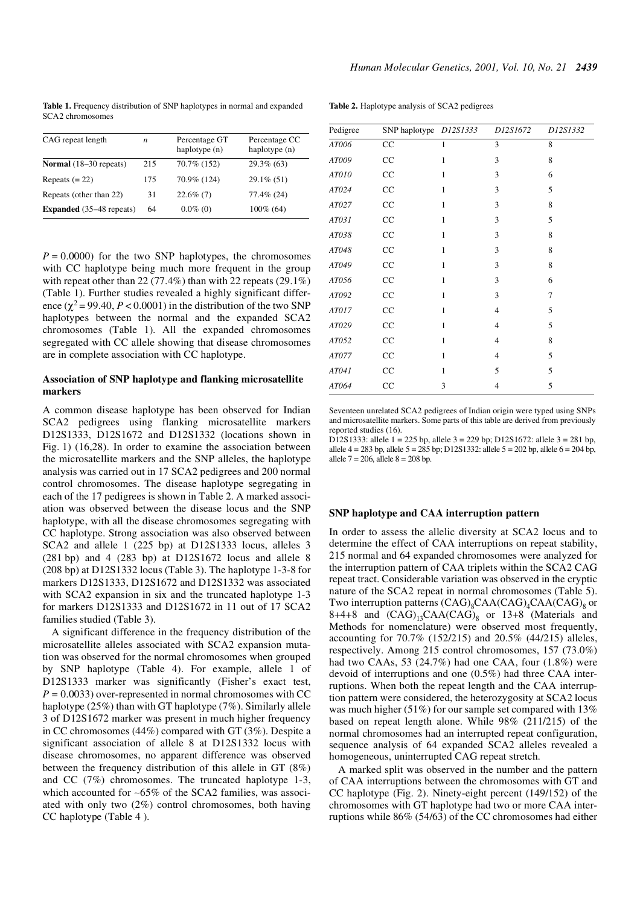**Table 1.** Frequency distribution of SNP haplotypes in normal and expanded SCA2 chromosomes

| CAG repeat length               | n   | Percentage GT<br>haplotype (n) | Percentage CC<br>haplotype (n) |
|---------------------------------|-----|--------------------------------|--------------------------------|
| <b>Normal</b> (18–30 repeats)   | 215 | 70.7% (152)                    | $29.3\%$ (63)                  |
| Repeats $(= 22)$                | 175 | 70.9% (124)                    | $29.1\%$ (51)                  |
| Repeats (other than 22)         | 31  | $22.6\%$ (7)                   | 77.4% (24)                     |
| <b>Expanded</b> (35–48 repeats) | 64  | $0.0\%$ (0)                    | $100\%$ (64)                   |

 $P = 0.0000$  for the two SNP haplotypes, the chromosomes with CC haplotype being much more frequent in the group with repeat other than  $22(77.4\%)$  than with  $22$  repeats  $(29.1\%)$ (Table 1). Further studies revealed a highly significant difference  $(\chi^2 = 99.40, P < 0.0001)$  in the distribution of the two SNP haplotypes between the normal and the expanded SCA2 chromosomes (Table 1). All the expanded chromosomes segregated with CC allele showing that disease chromosomes are in complete association with CC haplotype.

## **Association of SNP haplotype and flanking microsatellite markers**

A common disease haplotype has been observed for Indian SCA2 pedigrees using flanking microsatellite markers D12S1333, D12S1672 and D12S1332 (locations shown in Fig. 1) (16,28). In order to examine the association between the microsatellite markers and the SNP alleles, the haplotype analysis was carried out in 17 SCA2 pedigrees and 200 normal control chromosomes. The disease haplotype segregating in each of the 17 pedigrees is shown in Table 2. A marked association was observed between the disease locus and the SNP haplotype, with all the disease chromosomes segregating with CC haplotype. Strong association was also observed between SCA2 and allele 1 (225 bp) at D12S1333 locus, alleles 3 (281 bp) and 4 (283 bp) at D12S1672 locus and allele 8 (208 bp) at D12S1332 locus (Table 3). The haplotype 1-3-8 for markers D12S1333, D12S1672 and D12S1332 was associated with SCA2 expansion in six and the truncated haplotype 1-3 for markers D12S1333 and D12S1672 in 11 out of 17 SCA2 families studied (Table 3).

A significant difference in the frequency distribution of the microsatellite alleles associated with SCA2 expansion mutation was observed for the normal chromosomes when grouped by SNP haplotype (Table 4). For example, allele 1 of D12S1333 marker was significantly (Fisher's exact test,  $P = 0.0033$  over-represented in normal chromosomes with CC haplotype (25%) than with GT haplotype (7%). Similarly allele 3 of D12S1672 marker was present in much higher frequency in CC chromosomes (44%) compared with GT (3%). Despite a significant association of allele 8 at D12S1332 locus with disease chromosomes, no apparent difference was observed between the frequency distribution of this allele in GT (8%) and CC (7%) chromosomes. The truncated haplotype 1-3, which accounted for ~65% of the SCA2 families, was associated with only two (2%) control chromosomes, both having CC haplotype (Table 4 ).

**Table 2.** Haplotype analysis of SCA2 pedigrees

| Pedigree | SNP haplotype D12S1333 |              | D12S1672       | D12S1332 |
|----------|------------------------|--------------|----------------|----------|
| AT006    | CC                     | 1            | 3              | 8        |
| AT009    | CC                     | $\mathbf{1}$ | 3              | 8        |
| AT010    | CC                     | $\mathbf{1}$ | 3              | 6        |
| AT024    | CC                     | $\mathbf{1}$ | 3              | 5        |
| AT027    | CC                     | $\mathbf{1}$ | 3              | 8        |
| AT031    | CC                     | 1            | 3              | 5        |
| AT038    | CC                     | 1            | 3              | 8        |
| AT048    | CC                     | $\mathbf{1}$ | 3              | 8        |
| AT049    | CC                     | $\mathbf{1}$ | 3              | 8        |
| AT056    | CC                     | $\mathbf{1}$ | 3              | 6        |
| AT092    | CC                     | $\mathbf{1}$ | 3              | 7        |
| AT017    | CC                     | $\mathbf{1}$ | $\overline{4}$ | 5        |
| AT029    | CC                     | $\mathbf{1}$ | $\overline{4}$ | 5        |
| AT052    | CC                     | $\mathbf{1}$ | $\overline{4}$ | 8        |
| AT077    | CC                     | $\mathbf{1}$ | $\overline{4}$ | 5        |
| AT041    | CC                     | $\mathbf{1}$ | 5              | 5        |
| AT064    | CC                     | 3            | $\overline{4}$ | 5        |

Seventeen unrelated SCA2 pedigrees of Indian origin were typed using SNPs and microsatellite markers. Some parts of this table are derived from previously reported studies (16).

D12S1333: allele 1 = 225 bp, allele 3 = 229 bp; D12S1672: allele 3 = 281 bp, allele  $4 = 283$  bp, allele  $5 = 285$  bp; D12S1332: allele  $5 = 202$  bp, allele  $6 = 204$  bp, allele  $7 = 206$ , allele  $8 = 208$  bp.

# **SNP haplotype and CAA interruption pattern**

In order to assess the allelic diversity at SCA2 locus and to determine the effect of CAA interruptions on repeat stability, 215 normal and 64 expanded chromosomes were analyzed for the interruption pattern of CAA triplets within the SCA2 CAG repeat tract. Considerable variation was observed in the cryptic nature of the SCA2 repeat in normal chromosomes (Table 5). Two interruption patterns  $(CAG)_{8}CAA(CAG)_{4}CAA(CAG)_{8}$  or  $8+4+8$  and  $(CAG)_{13}CAA(CAG)_{8}$  or 13+8 (Materials and Methods for nomenclature) were observed most frequently, accounting for 70.7% (152/215) and 20.5% (44/215) alleles, respectively. Among 215 control chromosomes, 157 (73.0%) had two CAAs, 53 (24.7%) had one CAA, four (1.8%) were devoid of interruptions and one (0.5%) had three CAA interruptions. When both the repeat length and the CAA interruption pattern were considered, the heterozygosity at SCA2 locus was much higher (51%) for our sample set compared with 13% based on repeat length alone. While 98% (211/215) of the normal chromosomes had an interrupted repeat configuration, sequence analysis of 64 expanded SCA2 alleles revealed a homogeneous, uninterrupted CAG repeat stretch.

A marked split was observed in the number and the pattern of CAA interruptions between the chromosomes with GT and CC haplotype (Fig. 2). Ninety-eight percent (149/152) of the chromosomes with GT haplotype had two or more CAA interruptions while 86% (54/63) of the CC chromosomes had either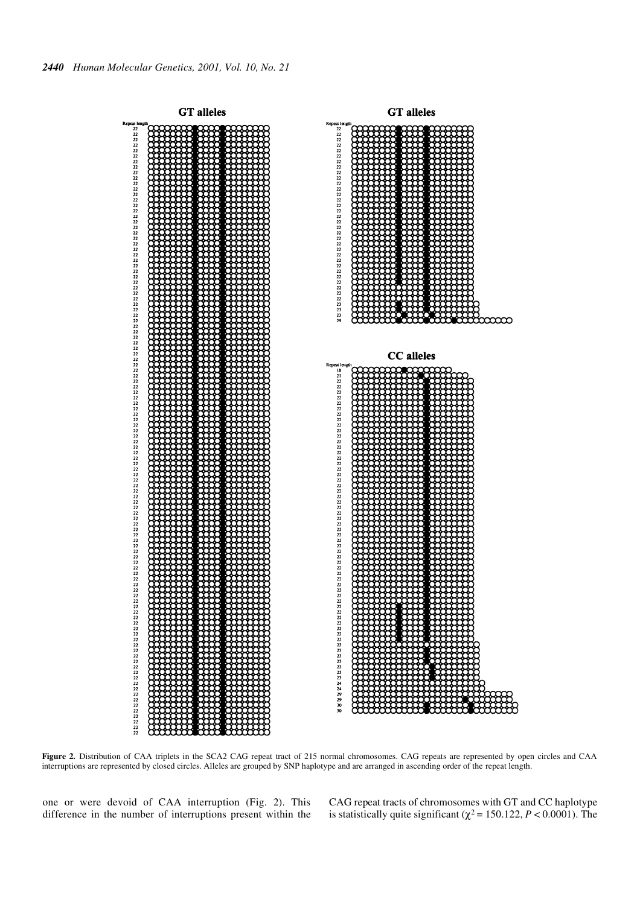

**Figure 2.** Distribution of CAA triplets in the SCA2 CAG repeat tract of 215 normal chromosomes. CAG repeats are represented by open circles and CAA interruptions are represented by closed circles. Alleles are grouped by SNP haplotype and are arranged in ascending order of the repeat length.

one or were devoid of CAA interruption (Fig. 2). This difference in the number of interruptions present within the CAG repeat tracts of chromosomes with GT and CC haplotype is statistically quite significant ( $\chi^2$  = 150.122, *P* < 0.0001). The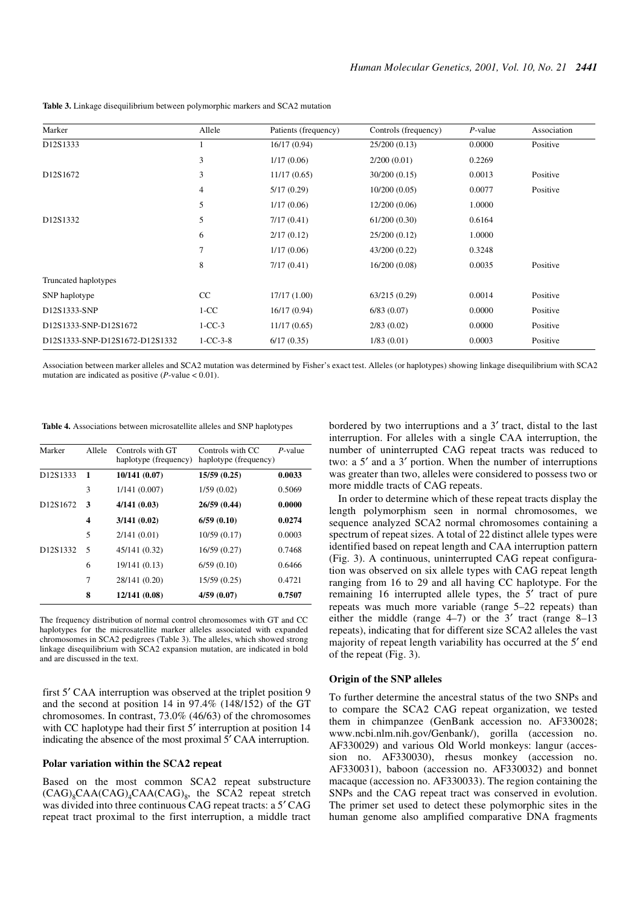| Marker                            | Allele           | Patients (frequency) | Controls (frequency) | $P$ -value | Association |
|-----------------------------------|------------------|----------------------|----------------------|------------|-------------|
| D12S1333                          |                  | 16/17(0.94)          | 25/200 (0.13)        | 0.0000     | Positive    |
|                                   | 3                | 1/17(0.06)           | 2/200(0.01)          | 0.2269     |             |
| D <sub>12</sub> S <sub>1672</sub> | 3                | 11/17(0.65)          | 30/200(0.15)         | 0.0013     | Positive    |
|                                   | 4                | 5/17(0.29)           | 10/200(0.05)         | 0.0077     | Positive    |
|                                   | 5                | 1/17(0.06)           | 12/200(0.06)         | 1.0000     |             |
| D12S1332                          | 5                | 7/17(0.41)           | 61/200(0.30)         | 0.6164     |             |
|                                   | 6                | 2/17(0.12)           | 25/200 (0.12)        | 1.0000     |             |
|                                   | 7                | 1/17(0.06)           | 43/200 (0.22)        | 0.3248     |             |
|                                   | 8                | 7/17(0.41)           | 16/200(0.08)         | 0.0035     | Positive    |
| Truncated haplotypes              |                  |                      |                      |            |             |
| SNP haplotype                     | CC               | 17/17 (1.00)         | 63/215 (0.29)        | 0.0014     | Positive    |
| D12S1333-SNP                      | $1-CC$           | 16/17(0.94)          | 6/83(0.07)           | 0.0000     | Positive    |
| D12S1333-SNP-D12S1672             | $1-CC-3$         | 11/17(0.65)          | 2/83(0.02)           | 0.0000     | Positive    |
| D12S1333-SNP-D12S1672-D12S1332    | $1 - CC - 3 - 8$ | 6/17(0.35)           | 1/83(0.01)           | 0.0003     | Positive    |

**Table 3.** Linkage disequilibrium between polymorphic markers and SCA2 mutation

Association between marker alleles and SCA2 mutation was determined by Fisher's exact test. Alleles (or haplotypes) showing linkage disequilibrium with SCA2 mutation are indicated as positive  $(P$ -value < 0.01).

| Table 4. Associations between microsatellite alleles and SNP haplotypes |  |  |  |
|-------------------------------------------------------------------------|--|--|--|
|-------------------------------------------------------------------------|--|--|--|

| Marker                            | Allele | Controls with GT<br>haplotype (frequency) | Controls with CC<br>haplotype (frequency) | P-value |
|-----------------------------------|--------|-------------------------------------------|-------------------------------------------|---------|
| D <sub>12</sub> S <sub>1333</sub> | 1      | 10/141(0.07)                              | 15/59(0.25)                               | 0.0033  |
|                                   | 3      | 1/141(0.007)                              | 1/59(0.02)                                | 0.5069  |
| D <sub>12</sub> S <sub>1672</sub> | 3      | 4/141(0.03)                               | 26/59 (0.44)                              | 0.0000  |
|                                   | 4      | 3/141(0.02)                               | 6/59(0.10)                                | 0.0274  |
|                                   | 5      | 2/141(0.01)                               | 10/59(0.17)                               | 0.0003  |
| D12S1332                          | 5      | 45/141 (0.32)                             | 16/59 (0.27)                              | 0.7468  |
|                                   | 6      | 19/141 (0.13)                             | 6/59(0.10)                                | 0.6466  |
|                                   | 7      | 28/141 (0.20)                             | 15/59 (0.25)                              | 0.4721  |
|                                   | 8      | 12/141 (0.08)                             | 4/59(0.07)                                | 0.7507  |

The frequency distribution of normal control chromosomes with GT and CC haplotypes for the microsatellite marker alleles associated with expanded chromosomes in SCA2 pedigrees (Table 3). The alleles, which showed strong linkage disequilibrium with SCA2 expansion mutation, are indicated in bold and are discussed in the text.

first 5′ CAA interruption was observed at the triplet position 9 and the second at position 14 in 97.4% (148/152) of the GT chromosomes. In contrast, 73.0% (46/63) of the chromosomes with CC haplotype had their first 5' interruption at position 14 indicating the absence of the most proximal 5′ CAA interruption.

### **Polar variation within the SCA2 repeat**

Based on the most common SCA2 repeat substructure  $(CAG)_8CAA(CAG)_4CAA(CAG)_8$ , the SCA2 repeat stretch was divided into three continuous CAG repeat tracts: a 5′ CAG repeat tract proximal to the first interruption, a middle tract bordered by two interruptions and a 3′ tract, distal to the last interruption. For alleles with a single CAA interruption, the number of uninterrupted CAG repeat tracts was reduced to two: a 5′ and a 3′ portion. When the number of interruptions was greater than two, alleles were considered to possess two or more middle tracts of CAG repeats.

In order to determine which of these repeat tracts display the length polymorphism seen in normal chromosomes, we sequence analyzed SCA2 normal chromosomes containing a spectrum of repeat sizes. A total of 22 distinct allele types were identified based on repeat length and CAA interruption pattern (Fig. 3). A continuous, uninterrupted CAG repeat configuration was observed on six allele types with CAG repeat length ranging from 16 to 29 and all having CC haplotype. For the remaining 16 interrupted allele types, the 5′ tract of pure repeats was much more variable (range 5–22 repeats) than either the middle (range 4–7) or the 3′ tract (range 8–13 repeats), indicating that for different size SCA2 alleles the vast majority of repeat length variability has occurred at the 5′ end of the repeat (Fig. 3).

#### **Origin of the SNP alleles**

To further determine the ancestral status of the two SNPs and to compare the SCA2 CAG repeat organization, we tested them in chimpanzee (GenBank accession no. AF330028; www.ncbi.nlm.nih.gov/Genbank/), gorilla (accession no. AF330029) and various Old World monkeys: langur (accession no. AF330030), rhesus monkey (accession no. AF330031), baboon (accession no. AF330032) and bonnet macaque (accession no. AF330033). The region containing the SNPs and the CAG repeat tract was conserved in evolution. The primer set used to detect these polymorphic sites in the human genome also amplified comparative DNA fragments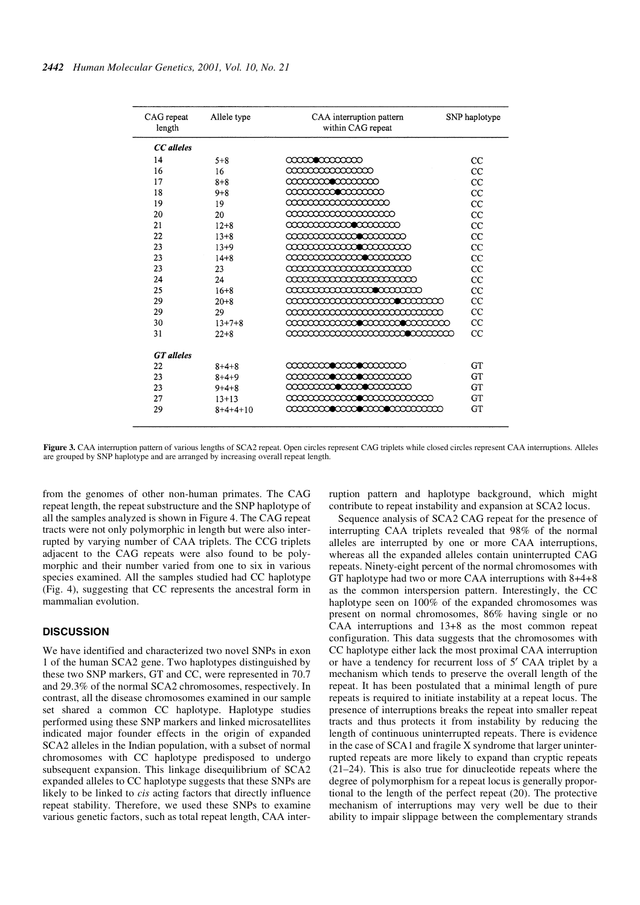| CAG repeat<br>length | Allele type  | CAA interruption pattern<br>within CAG repeat | SNP haplotype |
|----------------------|--------------|-----------------------------------------------|---------------|
| CC alleles           |              |                                               |               |
| 14                   | $5 + 8$      | 00000000000000                                | CC            |
| 16                   | 16           | 000000000000000                               | $_{\rm CC}$   |
| 17                   | $8 + 8$      | <b>aaaaaanoo aaaaa</b>                        | CC            |
| 18                   | $9 + 8$      | <b>aaaaaaan aaaaa</b>                         | $_{\rm CC}$   |
| 19                   | 19           | aaaaaaaaaaaa                                  | $_{\rm CC}$   |
| 20                   | 20           | aaaaaaaaaaaaaa                                | CC            |
| 21                   | $12 + 8$     | <b>aaaaaaaaaacoocaaa</b>                      | $_{\rm CC}$   |
| 22                   | $13 + 8$     | <b>aaaaaaaaaaaacaaaa</b>                      | CC            |
| 23                   | $13+9$       | <b>aaaaaaaaaaaaaa</b>                         | CC.           |
| 23                   | $14 + 8$     | <b>aaaaaaaaaaaaaa</b>                         | $_{\rm CC}$   |
| 23                   | 23           | <u> aaaaaaaaaaaaaaaaa</u>                     | CC            |
| 24                   | 24           |                                               | CC            |
| 25                   | $16 + 8$     | <b>aaaaaaaaaaaaa caaaaa</b>                   | <b>CC</b>     |
| 29                   | $20 + 8$     | <b>aaaaaaaaaaaaaaaaaacaa</b> a                | $_{\rm CC}$   |
| 29                   | 29           | aaaaaaaaaaaaaaaaaaa                           | CC            |
| 30                   | $13 + 7 + 8$ | <b>aaaaaaaaaamoo aaaaaaaa</b>                 | CC            |
| 31                   | $22 + 8$     | <u> aaaaaaaaaaaaaaaaaaaaaaaaa</u>             | CC            |
| <b>GT</b> alleles    |              |                                               |               |
| 22                   | $8+4+8$      | <b>aaaaaan aan aan aan a</b>                  | GT            |
| 23                   | $8 + 4 + 9$  | <b>aaaaaaccaaccaaccaaa</b>                    | GT            |
| 23                   | $9+4+8$      |                                               | GT            |
| 27                   | $13 + 13$    | <b>aaaaaaaaaaaaaa</b> aaaaa                   | <b>GT</b>     |
| 29                   | $8+4+4+10$   | <b>aaaaaacoo aanoo aanoo aanaan</b>           | GT            |
|                      |              |                                               |               |

**Figure 3.** CAA interruption pattern of various lengths of SCA2 repeat. Open circles represent CAG triplets while closed circles represent CAA interruptions. Alleles are grouped by SNP haplotype and are arranged by increasing overall repeat length.

from the genomes of other non-human primates. The CAG repeat length, the repeat substructure and the SNP haplotype of all the samples analyzed is shown in Figure 4. The CAG repeat tracts were not only polymorphic in length but were also interrupted by varying number of CAA triplets. The CCG triplets adjacent to the CAG repeats were also found to be polymorphic and their number varied from one to six in various species examined. All the samples studied had CC haplotype (Fig. 4), suggesting that CC represents the ancestral form in mammalian evolution.

## **DISCUSSION**

We have identified and characterized two novel SNPs in exon 1 of the human SCA2 gene. Two haplotypes distinguished by these two SNP markers, GT and CC, were represented in 70.7 and 29.3% of the normal SCA2 chromosomes, respectively. In contrast, all the disease chromosomes examined in our sample set shared a common CC haplotype. Haplotype studies performed using these SNP markers and linked microsatellites indicated major founder effects in the origin of expanded SCA2 alleles in the Indian population, with a subset of normal chromosomes with CC haplotype predisposed to undergo subsequent expansion. This linkage disequilibrium of SCA2 expanded alleles to CC haplotype suggests that these SNPs are likely to be linked to *cis* acting factors that directly influence repeat stability. Therefore, we used these SNPs to examine various genetic factors, such as total repeat length, CAA interruption pattern and haplotype background, which might contribute to repeat instability and expansion at SCA2 locus.

Sequence analysis of SCA2 CAG repeat for the presence of interrupting CAA triplets revealed that 98% of the normal alleles are interrupted by one or more CAA interruptions, whereas all the expanded alleles contain uninterrupted CAG repeats. Ninety-eight percent of the normal chromosomes with GT haplotype had two or more CAA interruptions with 8+4+8 as the common interspersion pattern. Interestingly, the CC haplotype seen on 100% of the expanded chromosomes was present on normal chromosomes, 86% having single or no CAA interruptions and 13+8 as the most common repeat configuration. This data suggests that the chromosomes with CC haplotype either lack the most proximal CAA interruption or have a tendency for recurrent loss of 5′ CAA triplet by a mechanism which tends to preserve the overall length of the repeat. It has been postulated that a minimal length of pure repeats is required to initiate instability at a repeat locus. The presence of interruptions breaks the repeat into smaller repeat tracts and thus protects it from instability by reducing the length of continuous uninterrupted repeats. There is evidence in the case of SCA1 and fragile X syndrome that larger uninterrupted repeats are more likely to expand than cryptic repeats (21–24). This is also true for dinucleotide repeats where the degree of polymorphism for a repeat locus is generally proportional to the length of the perfect repeat (20). The protective mechanism of interruptions may very well be due to their ability to impair slippage between the complementary strands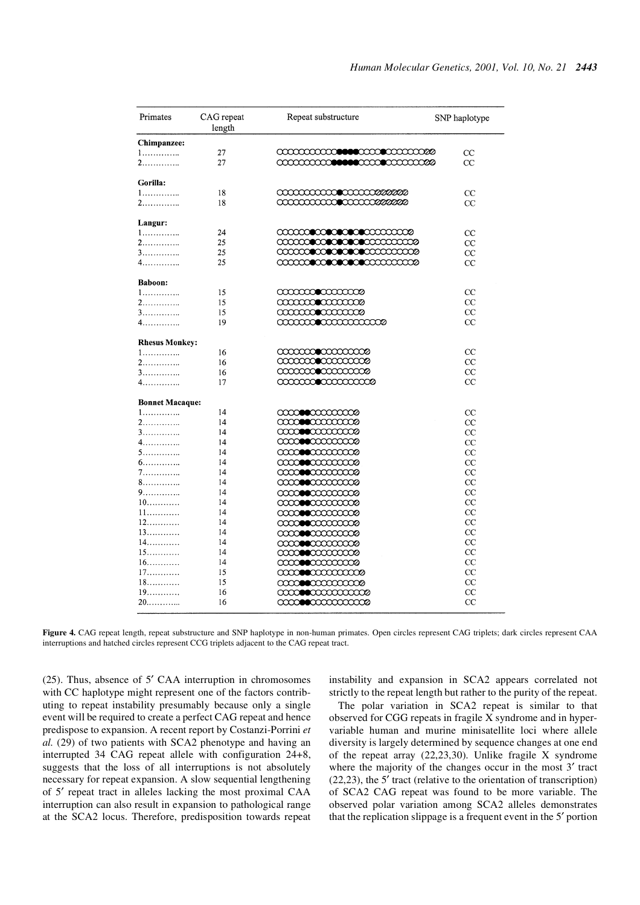| Primates                     | CAG repeat<br>length | Repeat substructure    | SNP haplotype |
|------------------------------|----------------------|------------------------|---------------|
| Chimpanzee:                  |                      |                        |               |
| 1.                           | 27                   |                        | CC            |
| 2.                           | 27                   |                        | CC            |
|                              |                      |                        |               |
| Gorilla:                     |                      |                        |               |
| 1.                           | 18                   |                        | CC            |
| 2.                           | 18                   |                        | CC            |
|                              |                      |                        |               |
| Langur:                      |                      |                        |               |
| 1.                           | 24                   |                        | CC            |
| 2.                           | 25                   |                        | $_{\rm CC}$   |
| 3.                           | 25                   |                        | $_{\rm CC}$   |
| 4.                           | 25                   |                        | $_{\rm CC}$   |
|                              |                      |                        |               |
| Baboon:                      |                      |                        |               |
| 1.                           | 15                   |                        | СC            |
| 2.                           | 15                   |                        | CC            |
| 3.                           | 15                   |                        | CC            |
| 4.                           | 19                   |                        | CC            |
|                              |                      |                        |               |
| <b>Rhesus Monkey:</b>        |                      |                        |               |
| 1.                           | 16                   |                        | CС            |
| 2.                           | 16                   |                        | $_{\rm CC}$   |
| 3.                           | 16                   |                        | СC            |
| 4.                           | 17                   |                        | CC            |
|                              |                      |                        |               |
| <b>Bonnet Macaque:</b><br>1. | 14                   |                        | $_{\rm CC}$   |
| 2.                           | 14                   |                        | $_{\rm CC}$   |
| 3.                           | 14                   |                        | CC            |
| 4.                           | 14                   |                        | CC            |
| 5.                           | 14                   |                        | $_{\rm CC}$   |
| 6.                           | 14                   |                        | $_{\rm CC}$   |
| 7.                           | 14                   |                        | $_{\rm CC}$   |
| 8.                           | 14                   |                        | $_{\rm CC}$   |
| 9.                           | 14                   |                        | $_{\rm CC}$   |
| $10$                         | 14                   |                        | $_{\rm CC}$   |
| 11.                          | 14                   |                        | $_{\rm CC}$   |
| 12                           | 14                   |                        | $_{\rm CC}$   |
| $13$                         | 14                   |                        | $_{\rm CC}$   |
| $14$                         | 14                   |                        | $_{\rm CC}$   |
| 15                           | 14                   |                        | CC            |
| $16.$                        | 14                   |                        | CC            |
| $17$                         | 15                   |                        | $_{\rm CC}$   |
| $18$                         | 15                   | <b>aaasexaaaaaas</b>   | $_{\rm CC}$   |
| 19.                          | 16                   | <b>aaanomaa</b> aaaaaa | $_{\rm CC}$   |
| $20$                         | 16                   |                        | $_{\rm CC}$   |
|                              |                      |                        |               |

Figure 4. CAG repeat length, repeat substructure and SNP haplotype in non-human primates. Open circles represent CAG triplets; dark circles represent CAA interruptions and hatched circles represent CCG triplets adjacent to the CAG repeat tract.

(25). Thus, absence of 5′ CAA interruption in chromosomes with CC haplotype might represent one of the factors contributing to repeat instability presumably because only a single event will be required to create a perfect CAG repeat and hence predispose to expansion. A recent report by Costanzi-Porrini *et al.* (29) of two patients with SCA2 phenotype and having an interrupted 34 CAG repeat allele with configuration 24+8, suggests that the loss of all interruptions is not absolutely necessary for repeat expansion. A slow sequential lengthening of 5′ repeat tract in alleles lacking the most proximal CAA interruption can also result in expansion to pathological range at the SCA2 locus. Therefore, predisposition towards repeat instability and expansion in SCA2 appears correlated not strictly to the repeat length but rather to the purity of the repeat.

The polar variation in SCA2 repeat is similar to that observed for CGG repeats in fragile X syndrome and in hypervariable human and murine minisatellite loci where allele diversity is largely determined by sequence changes at one end of the repeat array (22,23,30). Unlike fragile X syndrome where the majority of the changes occur in the most 3' tract (22,23), the 5′ tract (relative to the orientation of transcription) of SCA2 CAG repeat was found to be more variable. The observed polar variation among SCA2 alleles demonstrates that the replication slippage is a frequent event in the 5′ portion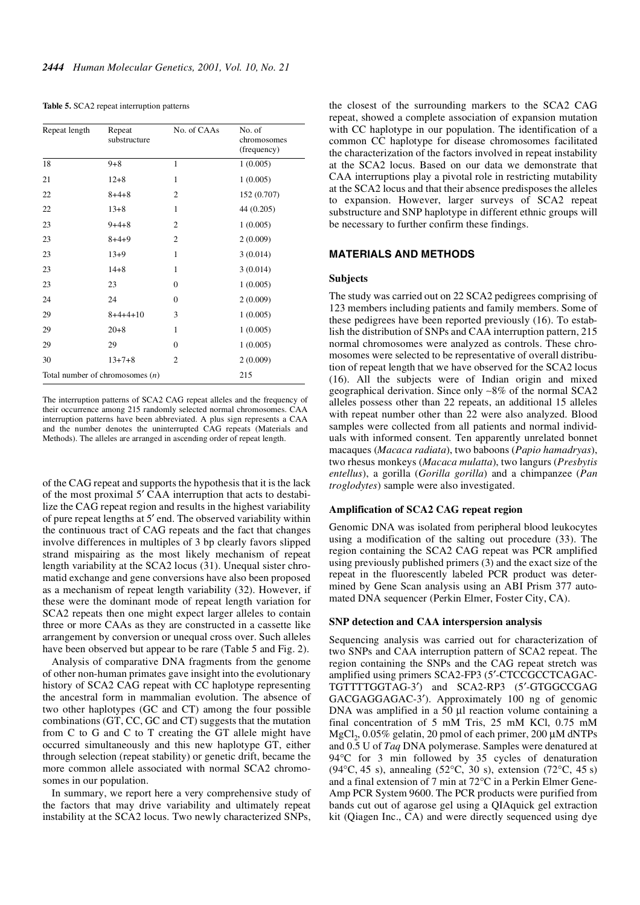|  |  |  |  |  | Table 5. SCA2 repeat interruption patterns |
|--|--|--|--|--|--------------------------------------------|
|--|--|--|--|--|--------------------------------------------|

| Repeat length                            | Repeat<br>substructure | No. of CAAs    | No. of<br>chromosomes<br>(frequency) |
|------------------------------------------|------------------------|----------------|--------------------------------------|
| 18                                       | $9 + 8$                | $\mathbf{1}$   | 1(0.005)                             |
| 21                                       | $12 + 8$               | 1              | 1(0.005)                             |
| 22                                       | $8 + 4 + 8$            | $\overline{c}$ | 152 (0.707)                          |
| 22                                       | $13 + 8$               | 1              | 44(0.205)                            |
| 23                                       | $9+4+8$                | $\overline{2}$ | 1(0.005)                             |
| 23                                       | $8+4+9$                | $\overline{2}$ | 2(0.009)                             |
| 23                                       | $13+9$                 | $\mathbf{1}$   | 3(0.014)                             |
| 23                                       | $14 + 8$               | $\mathbf{1}$   | 3(0.014)                             |
| 23                                       | 23                     | $\Omega$       | 1(0.005)                             |
| 24                                       | 24                     | $\mathbf{0}$   | 2(0.009)                             |
| 29                                       | $8+4+4+10$             | 3              | 1(0.005)                             |
| 29                                       | $20 + 8$               | $\mathbf{1}$   | 1(0.005)                             |
| 29                                       | 29                     | $\mathbf{0}$   | 1(0.005)                             |
| 30                                       | $13 + 7 + 8$           | $\overline{2}$ | 2(0.009)                             |
| Total number of chromosomes $(n)$<br>215 |                        |                |                                      |

The interruption patterns of SCA2 CAG repeat alleles and the frequency of their occurrence among 215 randomly selected normal chromosomes. CAA interruption patterns have been abbreviated. A plus sign represents a CAA and the number denotes the uninterrupted CAG repeats (Materials and Methods). The alleles are arranged in ascending order of repeat length.

of the CAG repeat and supports the hypothesis that it is the lack of the most proximal 5′ CAA interruption that acts to destabilize the CAG repeat region and results in the highest variability of pure repeat lengths at 5′ end. The observed variability within the continuous tract of CAG repeats and the fact that changes involve differences in multiples of 3 bp clearly favors slipped strand mispairing as the most likely mechanism of repeat length variability at the SCA2 locus (31). Unequal sister chromatid exchange and gene conversions have also been proposed as a mechanism of repeat length variability (32). However, if these were the dominant mode of repeat length variation for SCA2 repeats then one might expect larger alleles to contain three or more CAAs as they are constructed in a cassette like arrangement by conversion or unequal cross over. Such alleles have been observed but appear to be rare (Table 5 and Fig. 2).

Analysis of comparative DNA fragments from the genome of other non-human primates gave insight into the evolutionary history of SCA2 CAG repeat with CC haplotype representing the ancestral form in mammalian evolution. The absence of two other haplotypes (GC and CT) among the four possible combinations (GT, CC, GC and CT) suggests that the mutation from C to G and C to T creating the GT allele might have occurred simultaneously and this new haplotype GT, either through selection (repeat stability) or genetic drift, became the more common allele associated with normal SCA2 chromosomes in our population.

In summary, we report here a very comprehensive study of the factors that may drive variability and ultimately repeat instability at the SCA2 locus. Two newly characterized SNPs, the closest of the surrounding markers to the SCA2 CAG repeat, showed a complete association of expansion mutation with CC haplotype in our population. The identification of a common CC haplotype for disease chromosomes facilitated the characterization of the factors involved in repeat instability at the SCA2 locus. Based on our data we demonstrate that CAA interruptions play a pivotal role in restricting mutability at the SCA2 locus and that their absence predisposes the alleles to expansion. However, larger surveys of SCA2 repeat substructure and SNP haplotype in different ethnic groups will be necessary to further confirm these findings.

## **MATERIALS AND METHODS**

#### **Subjects**

The study was carried out on 22 SCA2 pedigrees comprising of 123 members including patients and family members. Some of these pedigrees have been reported previously (16). To establish the distribution of SNPs and CAA interruption pattern, 215 normal chromosomes were analyzed as controls. These chromosomes were selected to be representative of overall distribution of repeat length that we have observed for the SCA2 locus (16). All the subjects were of Indian origin and mixed geographical derivation. Since only ∼8% of the normal SCA2 alleles possess other than 22 repeats, an additional 15 alleles with repeat number other than 22 were also analyzed. Blood samples were collected from all patients and normal individuals with informed consent. Ten apparently unrelated bonnet macaques (*Macaca radiata*), two baboons (*Papio hamadryas*), two rhesus monkeys (*Macaca mulatta*), two langurs (*Presbytis entellus*), a gorilla (*Gorilla gorilla*) and a chimpanzee (*Pan troglodytes*) sample were also investigated.

## **Amplification of SCA2 CAG repeat region**

Genomic DNA was isolated from peripheral blood leukocytes using a modification of the salting out procedure (33). The region containing the SCA2 CAG repeat was PCR amplified using previously published primers (3) and the exact size of the repeat in the fluorescently labeled PCR product was determined by Gene Scan analysis using an ABI Prism 377 automated DNA sequencer (Perkin Elmer, Foster City, CA).

#### **SNP detection and CAA interspersion analysis**

Sequencing analysis was carried out for characterization of two SNPs and CAA interruption pattern of SCA2 repeat. The region containing the SNPs and the CAG repeat stretch was amplified using primers SCA2-FP3 (5′-CTCCGCCTCAGAC-TGTTTTGGTAG-3′) and SCA2-RP3 (5′-GTGGCCGAG GACGAGGAGAC-3′). Approximately 100 ng of genomic DNA was amplified in a 50 µl reaction volume containing a final concentration of 5 mM Tris, 25 mM KCl, 0.75 mM  ${ {\rm MgCl}_2}$ , 0.05% gelatin, 20 pmol of each primer, 200  $\mu{\rm M}$  dNTPs and 0.5 U of *Taq* DNA polymerase. Samples were denatured at 94°C for 3 min followed by 35 cycles of denaturation (94°C, 45 s), annealing (52°C, 30 s), extension (72°C, 45 s) and a final extension of 7 min at 72°C in a Perkin Elmer Gene-Amp PCR System 9600. The PCR products were purified from bands cut out of agarose gel using a QIAquick gel extraction kit (Qiagen Inc., CA) and were directly sequenced using dye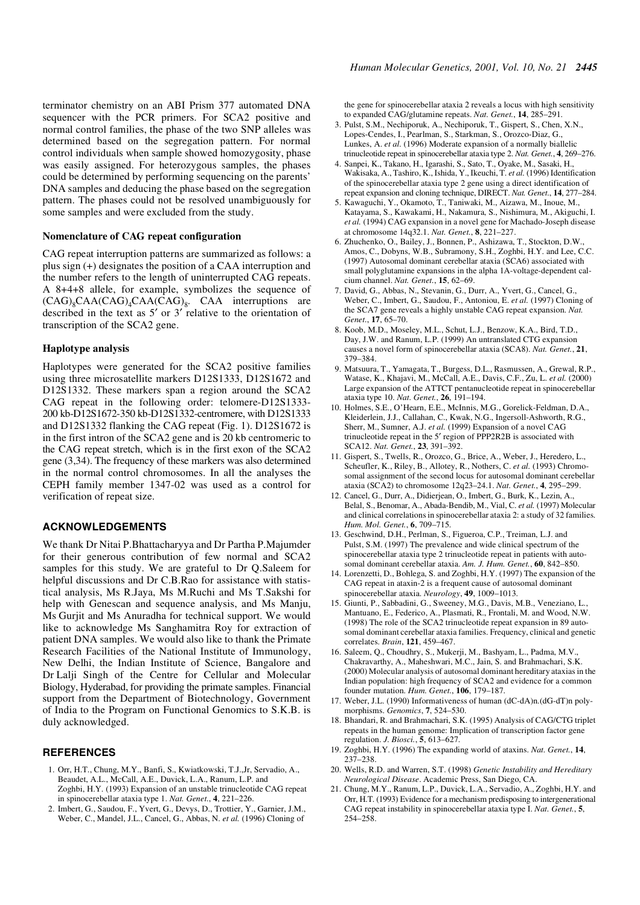terminator chemistry on an ABI Prism 377 automated DNA sequencer with the PCR primers. For SCA2 positive and normal control families, the phase of the two SNP alleles was determined based on the segregation pattern. For normal control individuals when sample showed homozygosity, phase was easily assigned. For heterozygous samples, the phases could be determined by performing sequencing on the parents' DNA samples and deducing the phase based on the segregation pattern. The phases could not be resolved unambiguously for some samples and were excluded from the study.

#### **Nomenclature of CAG repeat configuration**

CAG repeat interruption patterns are summarized as follows: a plus sign (+) designates the position of a CAA interruption and the number refers to the length of uninterrupted CAG repeats. A 8+4+8 allele, for example, symbolizes the sequence of  $(CAG)_8CAA(CAG)_4CAA(CAG)_8$ . CAA interruptions are described in the text as 5′ or 3′ relative to the orientation of transcription of the SCA2 gene.

#### **Haplotype analysis**

Haplotypes were generated for the SCA2 positive families using three microsatellite markers D12S1333, D12S1672 and D12S1332. These markers span a region around the SCA2 CAG repeat in the following order: telomere-D12S1333- 200 kb-D12S1672-350 kb-D12S1332-centromere, with D12S1333 and D12S1332 flanking the CAG repeat (Fig. 1). D12S1672 is in the first intron of the SCA2 gene and is 20 kb centromeric to the CAG repeat stretch, which is in the first exon of the SCA2 gene (3,34). The frequency of these markers was also determined in the normal control chromosomes. In all the analyses the CEPH family member 1347-02 was used as a control for verification of repeat size.

## **ACKNOWLEDGEMENTS**

We thank Dr Nitai P.Bhattacharyya and Dr Partha P.Majumder for their generous contribution of few normal and SCA2 samples for this study. We are grateful to Dr Q.Saleem for helpful discussions and Dr C.B.Rao for assistance with statistical analysis, Ms R.Jaya, Ms M.Ruchi and Ms T.Sakshi for help with Genescan and sequence analysis, and Ms Manju, Ms Gurjit and Ms Anuradha for technical support. We would like to acknowledge Ms Sanghamitra Roy for extraction of patient DNA samples. We would also like to thank the Primate Research Facilities of the National Institute of Immunology, New Delhi, the Indian Institute of Science, Bangalore and Dr Lalji Singh of the Centre for Cellular and Molecular Biology, Hyderabad, for providing the primate samples. Financial support from the Department of Biotechnology, Government of India to the Program on Functional Genomics to S.K.B. is duly acknowledged.

#### **REFERENCES**

- 1. Orr, H.T., Chung, M.Y., Banfi, S., Kwiatkowski, T.J.,Jr, Servadio, A., Beaudet, A.L., McCall, A.E., Duvick, L.A., Ranum, L.P. and Zoghbi, H.Y. (1993) Expansion of an unstable trinucleotide CAG repeat in spinocerebellar ataxia type 1. *Nat. Genet.*, **4**, 221–226.
- 2. Imbert, G., Saudou, F., Yvert, G., Devys, D., Trottier, Y., Garnier, J.M., Weber, C., Mandel, J.L., Cancel, G., Abbas, N. *et al.* (1996) Cloning of

the gene for spinocerebellar ataxia 2 reveals a locus with high sensitivity to expanded CAG/glutamine repeats. *Nat. Genet.*, **14**, 285–291.

- 3. Pulst, S.M., Nechiporuk, A., Nechiporuk, T., Gispert, S., Chen, X.N., Lopes-Cendes, I., Pearlman, S., Starkman, S., Orozco-Diaz, G., Lunkes, A. *et al.* (1996) Moderate expansion of a normally biallelic trinucleotide repeat in spinocerebellar ataxia type 2. *Nat. Genet.*, **4**, 269–276.
- 4. Sanpei, K., Takano, H., Igarashi, S., Sato, T., Oyake, M., Sasaki, H., Wakisaka, A., Tashiro, K., Ishida, Y., Ikeuchi, T. *et al.* (1996) Identification of the spinocerebellar ataxia type 2 gene using a direct identification of repeat expansion and cloning technique, DIRECT. *Nat. Genet.*, **14**, 277–284.
- 5. Kawaguchi, Y., Okamoto, T., Taniwaki, M., Aizawa, M., Inoue, M., Katayama, S., Kawakami, H., Nakamura, S., Nishimura, M., Akiguchi, I. *et al.* (1994) CAG expansion in a novel gene for Machado-Joseph disease at chromosome 14q32.1. *Nat. Genet.*, **8**, 221–227.
- 6. Zhuchenko, O., Bailey, J., Bonnen, P., Ashizawa, T., Stockton, D.W., Amos, C., Dobyns, W.B., Subramony, S.H., Zoghbi, H.Y. and Lee, C.C. (1997) Autosomal dominant cerebellar ataxia (SCA6) associated with small polyglutamine expansions in the alpha 1A-voltage-dependent calcium channel. *Nat. Genet.*, **15**, 62–69.
- 7. David, G., Abbas, N., Stevanin, G., Durr, A., Yvert, G., Cancel, G., Weber, C., Imbert, G., Saudou, F., Antoniou, E. *et al.* (1997) Cloning of the SCA7 gene reveals a highly unstable CAG repeat expansion. *Nat. Genet.*, **17**, 65–70.
- 8. Koob, M.D., Moseley, M.L., Schut, L.J., Benzow, K.A., Bird, T.D., Day, J.W. and Ranum, L.P. (1999) An untranslated CTG expansion causes a novel form of spinocerebellar ataxia (SCA8). *Nat. Genet.*, **21**, 379–384.
- 9. Matsuura, T., Yamagata, T., Burgess, D.L., Rasmussen, A., Grewal, R.P., Watase, K., Khajavi, M., McCall, A.E., Davis, C.F., Zu, L. *et al.* (2000) Large expansion of the ATTCT pentanucleotide repeat in spinocerebellar ataxia type 10. *Nat. Genet.*, **26**, 191–194.
- 10. Holmes, S.E., O'Hearn, E.E., McInnis, M.G., Gorelick-Feldman, D.A., Kleiderlein, J.J., Callahan, C., Kwak, N.G., Ingersoll-Ashworth, R.G., Sherr, M., Sumner, A.J. et al. (1999) Expansion of a novel CAG trinucleotide repeat in the 5′ region of PPP2R2B is associated with SCA12. *Nat. Genet.*, **23**, 391–392.
- 11. Gispert, S., Twells, R., Orozco, G., Brice, A., Weber, J., Heredero, L., Scheufler, K., Riley, B., Allotey, R., Nothers, C. *et al.* (1993) Chromosomal assignment of the second locus for autosomal dominant cerebellar ataxia (SCA2) to chromosome 12q23–24.1. *Nat. Genet.*, **4**, 295–299.
- 12. Cancel, G., Durr, A., Didierjean, O., Imbert, G., Burk, K., Lezin, A., Belal, S., Benomar, A., Abada-Bendib, M., Vial, C. *et al.* (1997) Molecular and clinical correlations in spinocerebellar ataxia 2: a study of 32 families. *Hum. Mol. Genet.*, **6**, 709–715.
- 13. Geschwind, D.H., Perlman, S., Figueroa, C.P., Treiman, L.J. and Pulst, S.M. (1997) The prevalence and wide clinical spectrum of the spinocerebellar ataxia type 2 trinucleotide repeat in patients with autosomal dominant cerebellar ataxia. *Am. J. Hum. Genet.*, **60**, 842–850.
- 14. Lorenzetti, D., Bohlega, S. and Zoghbi, H.Y. (1997) The expansion of the CAG repeat in ataxin-2 is a frequent cause of autosomal dominant spinocerebellar ataxia. *Neurology*, **49**, 1009–1013.
- 15. Giunti, P., Sabbadini, G., Sweeney, M.G., Davis, M.B., Veneziano, L., Mantuano, E., Federico, A., Plasmati, R., Frontali, M. and Wood, N.W. (1998) The role of the SCA2 trinucleotide repeat expansion in 89 autosomal dominant cerebellar ataxia families. Frequency, clinical and genetic correlates. *Brain*, **121**, 459–467.
- 16. Saleem, Q., Choudhry, S., Mukerji, M., Bashyam, L., Padma, M.V., Chakravarthy, A., Maheshwari, M.C., Jain, S. and Brahmachari, S.K. (2000) Molecular analysis of autosomal dominant hereditary ataxias in the Indian population: high frequency of SCA2 and evidence for a common founder mutation. *Hum. Genet.*, **106**, 179–187.
- 17. Weber, J.L. (1990) Informativeness of human (dC-dA)n.(dG-dT)n polymorphisms. *Genomics*, **7**, 524–530.
- 18. Bhandari, R. and Brahmachari, S.K. (1995) Analysis of CAG/CTG triplet repeats in the human genome: Implication of transcription factor gene regulation. *J. Biosci.*, **5**, 613–627.
- 19. Zoghbi, H.Y. (1996) The expanding world of ataxins. *Nat. Genet.*, **14**, 237–238.
- 20. Wells, R.D. and Warren, S.T. (1998) *Genetic Instability and Hereditary Neurological Disease*. Academic Press, San Diego, CA.
- 21. Chung, M.Y., Ranum, L.P., Duvick, L.A., Servadio, A., Zoghbi, H.Y. and Orr, H.T. (1993) Evidence for a mechanism predisposing to intergenerational CAG repeat instability in spinocerebellar ataxia type I. *Nat. Genet.*, **5**, 254–258.